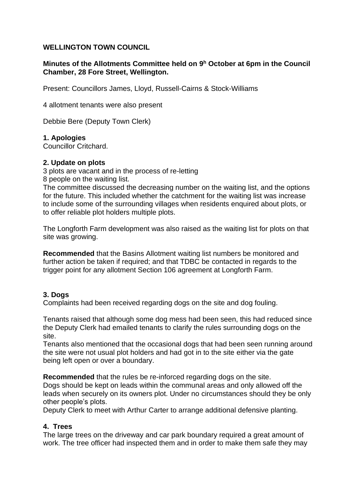# **WELLINGTON TOWN COUNCIL**

# **Minutes of the Allotments Committee held on 9 <sup>h</sup> October at 6pm in the Council Chamber, 28 Fore Street, Wellington.**

Present: Councillors James, Lloyd, Russell-Cairns & Stock-Williams

4 allotment tenants were also present

Debbie Bere (Deputy Town Clerk)

### **1. Apologies**

Councillor Critchard.

#### **2. Update on plots**

3 plots are vacant and in the process of re-letting

8 people on the waiting list.

The committee discussed the decreasing number on the waiting list, and the options for the future. This included whether the catchment for the waiting list was increase to include some of the surrounding villages when residents enquired about plots, or to offer reliable plot holders multiple plots.

The Longforth Farm development was also raised as the waiting list for plots on that site was growing.

**Recommended** that the Basins Allotment waiting list numbers be monitored and further action be taken if required; and that TDBC be contacted in regards to the trigger point for any allotment Section 106 agreement at Longforth Farm.

### **3. Dogs**

Complaints had been received regarding dogs on the site and dog fouling.

Tenants raised that although some dog mess had been seen, this had reduced since the Deputy Clerk had emailed tenants to clarify the rules surrounding dogs on the site.

Tenants also mentioned that the occasional dogs that had been seen running around the site were not usual plot holders and had got in to the site either via the gate being left open or over a boundary.

**Recommended** that the rules be re-inforced regarding dogs on the site. Dogs should be kept on leads within the communal areas and only allowed off the

leads when securely on its owners plot. Under no circumstances should they be only other people's plots.

Deputy Clerk to meet with Arthur Carter to arrange additional defensive planting.

### **4. Trees**

The large trees on the driveway and car park boundary required a great amount of work. The tree officer had inspected them and in order to make them safe they may